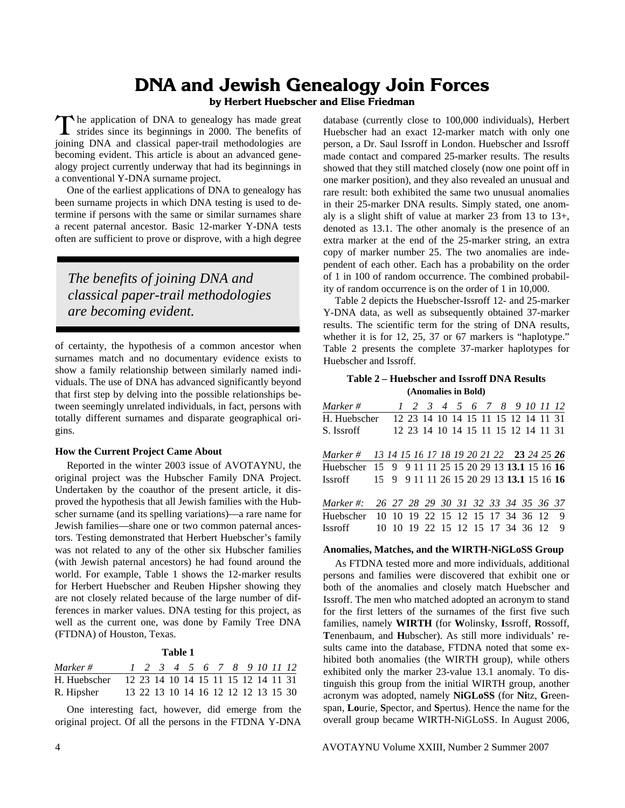# **DNA and Jewish Genealogy Join Forces**

## **by Herbert Huebscher and Elise Friedman**

he application of DNA to genealogy has made great The application of DNA to genealogy has made great strides since its beginnings in 2000. The benefits of joining DNA and classical paper-trail methodologies are becoming evident. This article is about an advanced genealogy project currently underway that had its beginnings in a conventional Y-DNA surname project.

 One of the earliest applications of DNA to genealogy has been surname projects in which DNA testing is used to determine if persons with the same or similar surnames share a recent paternal ancestor. Basic 12-marker Y-DNA tests often are sufficient to prove or disprove, with a high degree

*The benefits of joining DNA and classical paper-trail methodologies are becoming evident.* 

of certainty, the hypothesis of a common ancestor when surnames match and no documentary evidence exists to show a family relationship between similarly named individuals. The use of DNA has advanced significantly beyond that first step by delving into the possible relationships between seemingly unrelated individuals, in fact, persons with totally different surnames and disparate geographical origins.

#### **How the Current Project Came About**

 Reported in the winter 2003 issue of AVOTAYNU, the original project was the Hubscher Family DNA Project. Undertaken by the coauthor of the present article, it disproved the hypothesis that all Jewish families with the Hubscher surname (and its spelling variations)—a rare name for Jewish families—share one or two common paternal ancestors. Testing demonstrated that Herbert Huebscher's family was not related to any of the other six Hubscher families (with Jewish paternal ancestors) he had found around the world. For example, Table 1 shows the 12-marker results for Herbert Huebscher and Reuben Hipsher showing they are not closely related because of the large number of differences in marker values. DNA testing for this project, as well as the current one, was done by Family Tree DNA (FTDNA) of Houston, Texas.

#### **Table 1**

| Marker #     | 1 2 3 4 5 6 7 8 9 10 11 12          |  |  |  |  |  |
|--------------|-------------------------------------|--|--|--|--|--|
| H. Huebscher | 12 23 14 10 14 15 11 15 12 14 11 31 |  |  |  |  |  |
| R. Hipsher   | 13 22 13 10 14 16 12 12 12 13 15 30 |  |  |  |  |  |

 One interesting fact, however, did emerge from the original project. Of all the persons in the FTDNA Y-DNA

database (currently close to 100,000 individuals), Herbert Huebscher had an exact 12-marker match with only one person, a Dr. Saul Issroff in London. Huebscher and Issroff made contact and compared 25-marker results. The results showed that they still matched closely (now one point off in one marker position), and they also revealed an unusual and rare result: both exhibited the same two unusual anomalies in their 25-marker DNA results. Simply stated, one anomaly is a slight shift of value at marker 23 from 13 to 13+, denoted as 13.1. The other anomaly is the presence of an extra marker at the end of the 25-marker string, an extra copy of marker number 25. The two anomalies are independent of each other. Each has a probability on the order of 1 in 100 of random occurrence. The combined probability of random occurrence is on the order of 1 in 10,000.

 Table 2 depicts the Huebscher-Issroff 12- and 25-marker Y-DNA data, as well as subsequently obtained 37-marker results. The scientific term for the string of DNA results, whether it is for 12, 25, 37 or 67 markers is "haplotype." Table 2 presents the complete 37-marker haplotypes for Huebscher and Issroff.

## **Table 2 – Huebscher and Issroff DNA Results (Anomalies in Bold)**

| Marker #                                            |  | 1 2 3 4 5 6 7 8 9 10 11 12                |  |  |  |  |   |
|-----------------------------------------------------|--|-------------------------------------------|--|--|--|--|---|
| H. Huebscher                                        |  | 12 23 14 10 14 15 11 15 12 14 11 31       |  |  |  |  |   |
| S. Issroff                                          |  | 12 23 14 10 14 15 11 15 12 14 11 31       |  |  |  |  |   |
| Marker # 13 14 15 16 17 18 19 20 21 22 23 24 25 26  |  |                                           |  |  |  |  |   |
| Huebscher 15 9 9 11 11 25 15 20 29 13 13.1 15 16 16 |  |                                           |  |  |  |  |   |
| <b>Issroff</b>                                      |  | 15 9 9 11 11 26 15 20 29 13 13 1 15 16 16 |  |  |  |  |   |
| Marker #:                                           |  | 26 27 28 29 30 31 32 33 34 35 36 37       |  |  |  |  |   |
| Huebscher                                           |  | 10 10 19 22 15 12 15 17 34 36 12          |  |  |  |  | 9 |
| <b>Issroff</b>                                      |  | 10 10 19 22 15 12 15 17 34 36 12          |  |  |  |  | 9 |

## **Anomalies, Matches, and the WIRTH-NiGLoSS Group**

 As FTDNA tested more and more individuals, additional persons and families were discovered that exhibit one or both of the anomalies and closely match Huebscher and Issroff. The men who matched adopted an acronym to stand for the first letters of the surnames of the first five such families, namely **WIRTH** (for **W**olinsky, **I**ssroff, **R**ossoff, **T**enenbaum, and **H**ubscher). As still more individuals' results came into the database, FTDNA noted that some exhibited both anomalies (the WIRTH group), while others exhibited only the marker 23-value 13.1 anomaly. To distinguish this group from the initial WIRTH group, another acronym was adopted, namely **NiGLoSS** (for **Ni**tz, **G**reenspan, **Lo**urie, **S**pector, and **S**pertus). Hence the name for the overall group became WIRTH-NiGLoSS. In August 2006,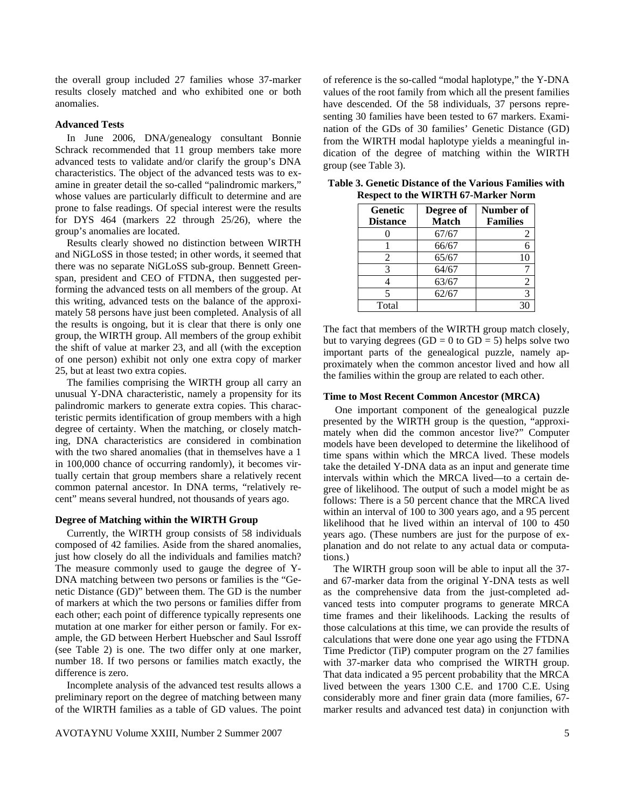the overall group included 27 families whose 37-marker results closely matched and who exhibited one or both anomalies.

#### **Advanced Tests**

 In June 2006, DNA/genealogy consultant Bonnie Schrack recommended that 11 group members take more advanced tests to validate and/or clarify the group's DNA characteristics. The object of the advanced tests was to examine in greater detail the so-called "palindromic markers," whose values are particularly difficult to determine and are prone to false readings. Of special interest were the results for DYS 464 (markers 22 through 25/26), where the group's anomalies are located.

 Results clearly showed no distinction between WIRTH and NiGLoSS in those tested; in other words, it seemed that there was no separate NiGLoSS sub-group. Bennett Greenspan, president and CEO of FTDNA, then suggested performing the advanced tests on all members of the group. At this writing, advanced tests on the balance of the approximately 58 persons have just been completed. Analysis of all the results is ongoing, but it is clear that there is only one group, the WIRTH group. All members of the group exhibit the shift of value at marker 23, and all (with the exception of one person) exhibit not only one extra copy of marker 25, but at least two extra copies.

 The families comprising the WIRTH group all carry an unusual Y-DNA characteristic, namely a propensity for its palindromic markers to generate extra copies. This characteristic permits identification of group members with a high degree of certainty. When the matching, or closely matching, DNA characteristics are considered in combination with the two shared anomalies (that in themselves have a 1 in 100,000 chance of occurring randomly), it becomes virtually certain that group members share a relatively recent common paternal ancestor. In DNA terms, "relatively recent" means several hundred, not thousands of years ago.

#### **Degree of Matching within the WIRTH Group**

 Currently, the WIRTH group consists of 58 individuals composed of 42 families. Aside from the shared anomalies, just how closely do all the individuals and families match? The measure commonly used to gauge the degree of Y-DNA matching between two persons or families is the "Genetic Distance (GD)" between them. The GD is the number of markers at which the two persons or families differ from each other; each point of difference typically represents one mutation at one marker for either person or family. For example, the GD between Herbert Huebscher and Saul Issroff (see Table 2) is one. The two differ only at one marker, number 18. If two persons or families match exactly, the difference is zero.

 Incomplete analysis of the advanced test results allows a preliminary report on the degree of matching between many of the WIRTH families as a table of GD values. The point

AVOTAYNU Volume XXIII, Number 2 Summer 2007 5

of reference is the so-called "modal haplotype," the Y-DNA values of the root family from which all the present families have descended. Of the 58 individuals, 37 persons representing 30 families have been tested to 67 markers. Examination of the GDs of 30 families' Genetic Distance (GD) from the WIRTH modal haplotype yields a meaningful indication of the degree of matching within the WIRTH group (see Table 3).

| Genetic<br><b>Distance</b> | Degree of<br><b>Match</b> | Number of<br><b>Families</b> |
|----------------------------|---------------------------|------------------------------|
|                            | 67/67                     |                              |
|                            | 66/67                     |                              |
| 2                          | 65/67                     | 10                           |
| 3                          | 64/67                     |                              |
|                            | 63/67                     | 2                            |
| 5                          | 62/67                     | 3                            |
| Total                      |                           |                              |

**Table 3. Genetic Distance of the Various Families with Respect to the WIRTH 67-Marker Norm**

The fact that members of the WIRTH group match closely, but to varying degrees  $(GD = 0$  to  $GD = 5)$  helps solve two important parts of the genealogical puzzle, namely approximately when the common ancestor lived and how all the families within the group are related to each other.

#### **Time to Most Recent Common Ancestor (MRCA)**

 One important component of the genealogical puzzle presented by the WIRTH group is the question, "approximately when did the common ancestor live?" Computer models have been developed to determine the likelihood of time spans within which the MRCA lived. These models take the detailed Y-DNA data as an input and generate time intervals within which the MRCA lived—to a certain degree of likelihood. The output of such a model might be as follows: There is a 50 percent chance that the MRCA lived within an interval of 100 to 300 years ago, and a 95 percent likelihood that he lived within an interval of 100 to 450 years ago. (These numbers are just for the purpose of explanation and do not relate to any actual data or computations.)

 The WIRTH group soon will be able to input all the 37 and 67-marker data from the original Y-DNA tests as well as the comprehensive data from the just-completed advanced tests into computer programs to generate MRCA time frames and their likelihoods. Lacking the results of those calculations at this time, we can provide the results of calculations that were done one year ago using the FTDNA Time Predictor (TiP) computer program on the 27 families with 37-marker data who comprised the WIRTH group. That data indicated a 95 percent probability that the MRCA lived between the years 1300 C.E. and 1700 C.E. Using considerably more and finer grain data (more families, 67 marker results and advanced test data) in conjunction with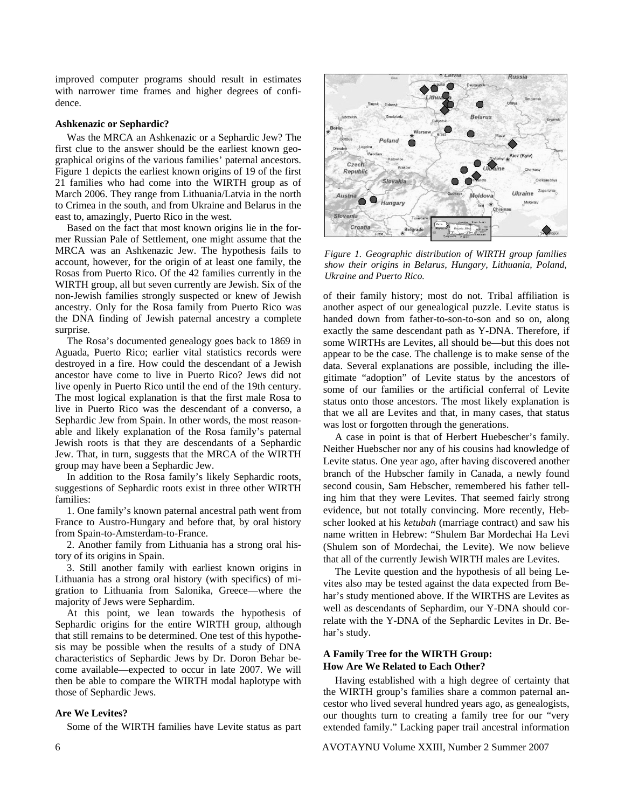improved computer programs should result in estimates with narrower time frames and higher degrees of confidence.

## **Ashkenazic or Sephardic?**

 Was the MRCA an Ashkenazic or a Sephardic Jew? The first clue to the answer should be the earliest known geographical origins of the various families' paternal ancestors. Figure 1 depicts the earliest known origins of 19 of the first 21 families who had come into the WIRTH group as of March 2006. They range from Lithuania/Latvia in the north to Crimea in the south, and from Ukraine and Belarus in the east to, amazingly, Puerto Rico in the west.

 Based on the fact that most known origins lie in the former Russian Pale of Settlement, one might assume that the MRCA was an Ashkenazic Jew. The hypothesis fails to account, however, for the origin of at least one family, the Rosas from Puerto Rico. Of the 42 families currently in the WIRTH group, all but seven currently are Jewish. Six of the non-Jewish families strongly suspected or knew of Jewish ancestry. Only for the Rosa family from Puerto Rico was the DNA finding of Jewish paternal ancestry a complete surprise.

 The Rosa's documented genealogy goes back to 1869 in Aguada, Puerto Rico; earlier vital statistics records were destroyed in a fire. How could the descendant of a Jewish ancestor have come to live in Puerto Rico? Jews did not live openly in Puerto Rico until the end of the 19th century. The most logical explanation is that the first male Rosa to live in Puerto Rico was the descendant of a converso, a Sephardic Jew from Spain. In other words, the most reasonable and likely explanation of the Rosa family's paternal Jewish roots is that they are descendants of a Sephardic Jew. That, in turn, suggests that the MRCA of the WIRTH group may have been a Sephardic Jew.

 In addition to the Rosa family's likely Sephardic roots, suggestions of Sephardic roots exist in three other WIRTH families:

 1. One family's known paternal ancestral path went from France to Austro-Hungary and before that, by oral history from Spain-to-Amsterdam-to-France.

 2. Another family from Lithuania has a strong oral history of its origins in Spain.

 3. Still another family with earliest known origins in Lithuania has a strong oral history (with specifics) of migration to Lithuania from Salonika, Greece—where the majority of Jews were Sephardim.

 At this point, we lean towards the hypothesis of Sephardic origins for the entire WIRTH group, although that still remains to be determined. One test of this hypothesis may be possible when the results of a study of DNA characteristics of Sephardic Jews by Dr. Doron Behar become available—expected to occur in late 2007. We will then be able to compare the WIRTH modal haplotype with those of Sephardic Jews.

### **Are We Levites?**

Some of the WIRTH families have Levite status as part



*Figure 1. Geographic distribution of WIRTH group families show their origins in Belarus, Hungary, Lithuania, Poland, Ukraine and Puerto Rico.* 

of their family history; most do not. Tribal affiliation is another aspect of our genealogical puzzle. Levite status is handed down from father-to-son-to-son and so on, along exactly the same descendant path as Y-DNA. Therefore, if some WIRTHs are Levites, all should be—but this does not appear to be the case. The challenge is to make sense of the data. Several explanations are possible, including the illegitimate "adoption" of Levite status by the ancestors of some of our families or the artificial conferral of Levite status onto those ancestors. The most likely explanation is that we all are Levites and that, in many cases, that status was lost or forgotten through the generations.

 A case in point is that of Herbert Huebescher's family. Neither Huebscher nor any of his cousins had knowledge of Levite status. One year ago, after having discovered another branch of the Hubscher family in Canada, a newly found second cousin, Sam Hebscher, remembered his father telling him that they were Levites. That seemed fairly strong evidence, but not totally convincing. More recently, Hebscher looked at his *ketubah* (marriage contract) and saw his name written in Hebrew: "Shulem Bar Mordechai Ha Levi (Shulem son of Mordechai, the Levite). We now believe that all of the currently Jewish WIRTH males are Levites.

 The Levite question and the hypothesis of all being Levites also may be tested against the data expected from Behar's study mentioned above. If the WIRTHS are Levites as well as descendants of Sephardim, our Y-DNA should correlate with the Y-DNA of the Sephardic Levites in Dr. Behar's study.

## **A Family Tree for the WIRTH Group: How Are We Related to Each Other?**

 Having established with a high degree of certainty that the WIRTH group's families share a common paternal ancestor who lived several hundred years ago, as genealogists, our thoughts turn to creating a family tree for our "very extended family." Lacking paper trail ancestral information

6 AVOTAYNU Volume XXIII, Number 2 Summer 2007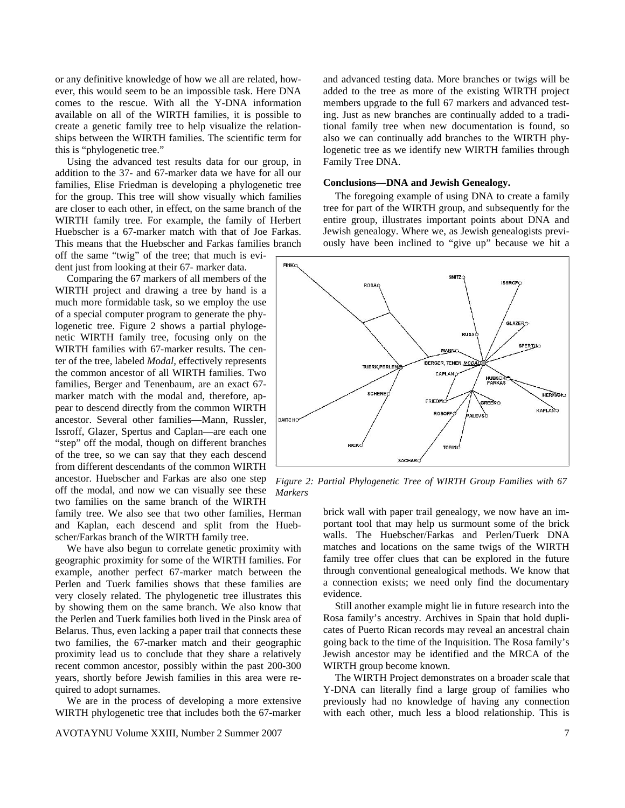or any definitive knowledge of how we all are related, however, this would seem to be an impossible task. Here DNA comes to the rescue. With all the Y-DNA information available on all of the WIRTH families, it is possible to create a genetic family tree to help visualize the relationships between the WIRTH families. The scientific term for this is "phylogenetic tree."

 Using the advanced test results data for our group, in addition to the 37- and 67-marker data we have for all our families, Elise Friedman is developing a phylogenetic tree for the group. This tree will show visually which families are closer to each other, in effect, on the same branch of the WIRTH family tree. For example, the family of Herbert Huebscher is a 67-marker match with that of Joe Farkas. This means that the Huebscher and Farkas families branch

off the same "twig" of the tree; that much is evident just from looking at their 67- marker data.

 Comparing the 67 markers of all members of the WIRTH project and drawing a tree by hand is a much more formidable task, so we employ the use of a special computer program to generate the phylogenetic tree. Figure 2 shows a partial phylogenetic WIRTH family tree, focusing only on the WIRTH families with 67-marker results. The center of the tree, labeled *Modal,* effectively represents the common ancestor of all WIRTH families. Two families, Berger and Tenenbaum, are an exact 67 marker match with the modal and, therefore, appear to descend directly from the common WIRTH ancestor. Several other families—Mann, Russler, Issroff, Glazer, Spertus and Caplan—are each one "step" off the modal, though on different branches of the tree, so we can say that they each descend from different descendants of the common WIRTH ancestor. Huebscher and Farkas are also one step off the modal, and now we can visually see these two families on the same branch of the WIRTH

family tree. We also see that two other families, Herman and Kaplan, each descend and split from the Huebscher/Farkas branch of the WIRTH family tree.

 We have also begun to correlate genetic proximity with geographic proximity for some of the WIRTH families. For example, another perfect 67-marker match between the Perlen and Tuerk families shows that these families are very closely related. The phylogenetic tree illustrates this by showing them on the same branch. We also know that the Perlen and Tuerk families both lived in the Pinsk area of Belarus. Thus, even lacking a paper trail that connects these two families, the 67-marker match and their geographic proximity lead us to conclude that they share a relatively recent common ancestor, possibly within the past 200-300 years, shortly before Jewish families in this area were required to adopt surnames.

 We are in the process of developing a more extensive WIRTH phylogenetic tree that includes both the 67-marker

AVOTAYNU Volume XXIII, Number 2 Summer 2007 7

and advanced testing data. More branches or twigs will be added to the tree as more of the existing WIRTH project members upgrade to the full 67 markers and advanced testing. Just as new branches are continually added to a traditional family tree when new documentation is found, so also we can continually add branches to the WIRTH phylogenetic tree as we identify new WIRTH families through Family Tree DNA.

#### **Conclusions—DNA and Jewish Genealogy.**

 The foregoing example of using DNA to create a family tree for part of the WIRTH group, and subsequently for the entire group, illustrates important points about DNA and Jewish genealogy. Where we, as Jewish genealogists previously have been inclined to "give up" because we hit a



*Figure 2: Partial Phylogenetic Tree of WIRTH Group Families with 67 Markers* 

brick wall with paper trail genealogy, we now have an important tool that may help us surmount some of the brick walls. The Huebscher/Farkas and Perlen/Tuerk DNA matches and locations on the same twigs of the WIRTH family tree offer clues that can be explored in the future through conventional genealogical methods. We know that a connection exists; we need only find the documentary evidence.

 Still another example might lie in future research into the Rosa family's ancestry. Archives in Spain that hold duplicates of Puerto Rican records may reveal an ancestral chain going back to the time of the Inquisition. The Rosa family's Jewish ancestor may be identified and the MRCA of the WIRTH group become known.

 The WIRTH Project demonstrates on a broader scale that Y-DNA can literally find a large group of families who previously had no knowledge of having any connection with each other, much less a blood relationship. This is